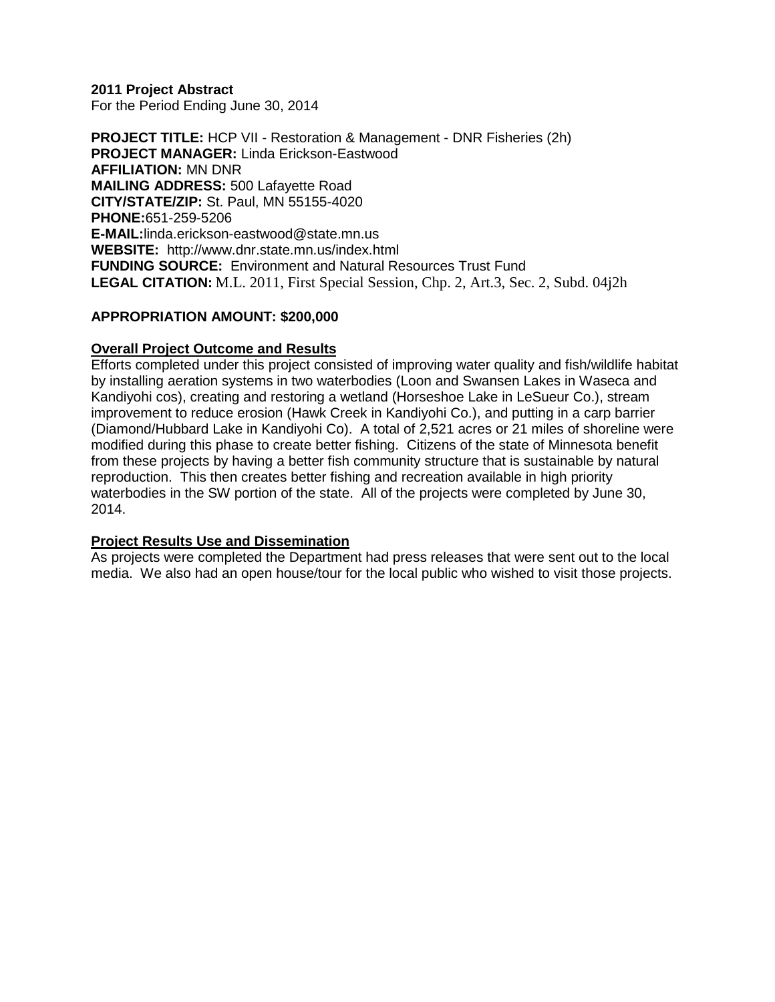**2011 Project Abstract** For the Period Ending June 30, 2014

**PROJECT TITLE:** HCP VII - Restoration & Management - DNR Fisheries (2h) **PROJECT MANAGER:** Linda Erickson-Eastwood **AFFILIATION:** MN DNR **MAILING ADDRESS:** 500 Lafayette Road **CITY/STATE/ZIP:** St. Paul, MN 55155-4020 **PHONE:**651-259-5206 **E-MAIL:**linda.erickson-eastwood@state.mn.us **WEBSITE:** http://www.dnr.state.mn.us/index.html **FUNDING SOURCE:** Environment and Natural Resources Trust Fund **LEGAL CITATION:** M.L. 2011, First Special Session, Chp. 2, Art.3, Sec. 2, Subd. 04j2h

# **APPROPRIATION AMOUNT: \$200,000**

# **Overall Project Outcome and Results**

Efforts completed under this project consisted of improving water quality and fish/wildlife habitat by installing aeration systems in two waterbodies (Loon and Swansen Lakes in Waseca and Kandiyohi cos), creating and restoring a wetland (Horseshoe Lake in LeSueur Co.), stream improvement to reduce erosion (Hawk Creek in Kandiyohi Co.), and putting in a carp barrier (Diamond/Hubbard Lake in Kandiyohi Co). A total of 2,521 acres or 21 miles of shoreline were modified during this phase to create better fishing. Citizens of the state of Minnesota benefit from these projects by having a better fish community structure that is sustainable by natural reproduction. This then creates better fishing and recreation available in high priority waterbodies in the SW portion of the state. All of the projects were completed by June 30, 2014.

# **Project Results Use and Dissemination**

As projects were completed the Department had press releases that were sent out to the local media. We also had an open house/tour for the local public who wished to visit those projects.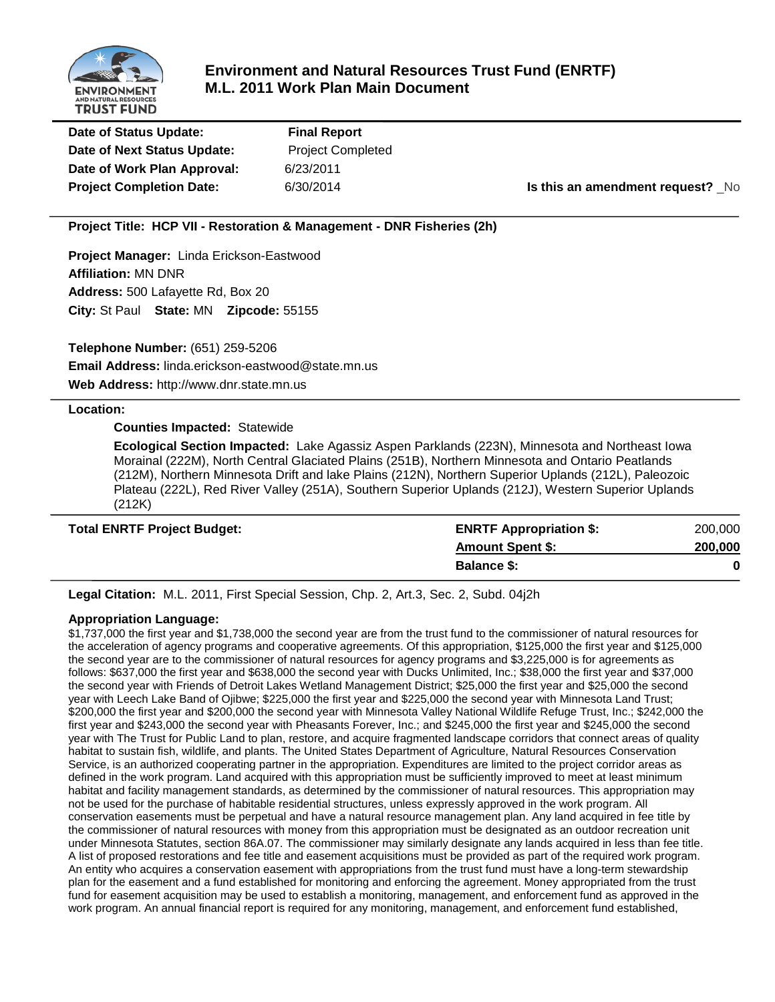

# **Environment and Natural Resources Trust Fund (ENRTF) M.L. 2011 Work Plan Main Document**

| Date of Status Update:          |  |
|---------------------------------|--|
| Date of Next Status Update:     |  |
| Date of Work Plan Approval:     |  |
| <b>Project Completion Date:</b> |  |

**Final Report Project Completed Date of Work Plan Approval:** 6/23/2011

**Project Completion Date: Is this an amendment request?** No

#### **Project Title: HCP VII - Restoration & Management - DNR Fisheries (2h)**

**Project Manager:** Linda Erickson-Eastwood **Affiliation:** MN DNR **Address:** 500 Lafayette Rd, Box 20 **City:** St Paul **State:** MN **Zipcode:** 55155

**Telephone Number:** (651) 259-5206 **Email Address:** linda.erickson-eastwood@state.mn.us **Web Address:** http://www.dnr.state.mn.us

#### **Location:**

#### **Counties Impacted:** Statewide

**Ecological Section Impacted:** Lake Agassiz Aspen Parklands (223N), Minnesota and Northeast Iowa Morainal (222M), North Central Glaciated Plains (251B), Northern Minnesota and Ontario Peatlands (212M), Northern Minnesota Drift and lake Plains (212N), Northern Superior Uplands (212L), Paleozoic Plateau (222L), Red River Valley (251A), Southern Superior Uplands (212J), Western Superior Uplands (212K)

| <b>Total ENRTF Project Budget:</b> | <b>ENRTF Appropriation \$:</b> | 200,000 |
|------------------------------------|--------------------------------|---------|
|                                    | <b>Amount Spent \$:</b>        | 200,000 |
|                                    | <b>Balance \$:</b>             |         |

**Legal Citation:** M.L. 2011, First Special Session, Chp. 2, Art.3, Sec. 2, Subd. 04j2h

#### **Appropriation Language:**

\$1,737,000 the first year and \$1,738,000 the second year are from the trust fund to the commissioner of natural resources for the acceleration of agency programs and cooperative agreements. Of this appropriation, \$125,000 the first year and \$125,000 the second year are to the commissioner of natural resources for agency programs and \$3,225,000 is for agreements as follows: \$637,000 the first year and \$638,000 the second year with Ducks Unlimited, Inc.; \$38,000 the first year and \$37,000 the second year with Friends of Detroit Lakes Wetland Management District; \$25,000 the first year and \$25,000 the second year with Leech Lake Band of Ojibwe; \$225,000 the first year and \$225,000 the second year with Minnesota Land Trust; \$200,000 the first year and \$200,000 the second year with Minnesota Valley National Wildlife Refuge Trust, Inc.; \$242,000 the first year and \$243,000 the second year with Pheasants Forever, Inc.; and \$245,000 the first year and \$245,000 the second year with The Trust for Public Land to plan, restore, and acquire fragmented landscape corridors that connect areas of quality habitat to sustain fish, wildlife, and plants. The United States Department of Agriculture, Natural Resources Conservation Service, is an authorized cooperating partner in the appropriation. Expenditures are limited to the project corridor areas as defined in the work program. Land acquired with this appropriation must be sufficiently improved to meet at least minimum habitat and facility management standards, as determined by the commissioner of natural resources. This appropriation may not be used for the purchase of habitable residential structures, unless expressly approved in the work program. All conservation easements must be perpetual and have a natural resource management plan. Any land acquired in fee title by the commissioner of natural resources with money from this appropriation must be designated as an outdoor recreation unit under Minnesota Statutes, section 86A.07. The commissioner may similarly designate any lands acquired in less than fee title. A list of proposed restorations and fee title and easement acquisitions must be provided as part of the required work program. An entity who acquires a conservation easement with appropriations from the trust fund must have a long-term stewardship plan for the easement and a fund established for monitoring and enforcing the agreement. Money appropriated from the trust fund for easement acquisition may be used to establish a monitoring, management, and enforcement fund as approved in the work program. An annual financial report is required for any monitoring, management, and enforcement fund established,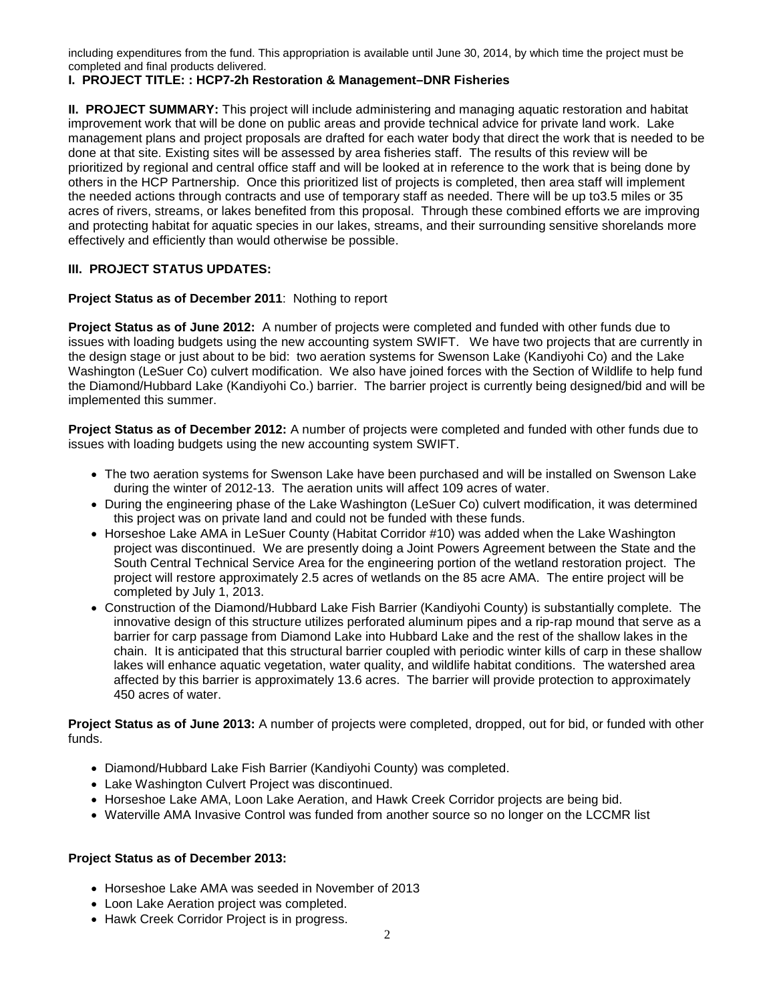including expenditures from the fund. This appropriation is available until June 30, 2014, by which time the project must be completed and final products delivered.

## **I. PROJECT TITLE: : HCP7-2h Restoration & Management–DNR Fisheries**

**II. PROJECT SUMMARY:** This project will include administering and managing aquatic restoration and habitat improvement work that will be done on public areas and provide technical advice for private land work. Lake management plans and project proposals are drafted for each water body that direct the work that is needed to be done at that site. Existing sites will be assessed by area fisheries staff. The results of this review will be prioritized by regional and central office staff and will be looked at in reference to the work that is being done by others in the HCP Partnership. Once this prioritized list of projects is completed, then area staff will implement the needed actions through contracts and use of temporary staff as needed. There will be up to3.5 miles or 35 acres of rivers, streams, or lakes benefited from this proposal. Through these combined efforts we are improving and protecting habitat for aquatic species in our lakes, streams, and their surrounding sensitive shorelands more effectively and efficiently than would otherwise be possible.

## **III. PROJECT STATUS UPDATES:**

#### **Project Status as of December 2011**: Nothing to report

**Project Status as of June 2012:** A number of projects were completed and funded with other funds due to issues with loading budgets using the new accounting system SWIFT. We have two projects that are currently in the design stage or just about to be bid: two aeration systems for Swenson Lake (Kandiyohi Co) and the Lake Washington (LeSuer Co) culvert modification. We also have joined forces with the Section of Wildlife to help fund the Diamond/Hubbard Lake (Kandiyohi Co.) barrier. The barrier project is currently being designed/bid and will be implemented this summer.

**Project Status as of December 2012:** A number of projects were completed and funded with other funds due to issues with loading budgets using the new accounting system SWIFT.

- The two aeration systems for Swenson Lake have been purchased and will be installed on Swenson Lake during the winter of 2012-13. The aeration units will affect 109 acres of water.
- During the engineering phase of the Lake Washington (LeSuer Co) culvert modification, it was determined this project was on private land and could not be funded with these funds.
- Horseshoe Lake AMA in LeSuer County (Habitat Corridor #10) was added when the Lake Washington project was discontinued. We are presently doing a Joint Powers Agreement between the State and the South Central Technical Service Area for the engineering portion of the wetland restoration project. The project will restore approximately 2.5 acres of wetlands on the 85 acre AMA. The entire project will be completed by July 1, 2013.
- Construction of the Diamond/Hubbard Lake Fish Barrier (Kandiyohi County) is substantially complete. The innovative design of this structure utilizes perforated aluminum pipes and a rip-rap mound that serve as a barrier for carp passage from Diamond Lake into Hubbard Lake and the rest of the shallow lakes in the chain. It is anticipated that this structural barrier coupled with periodic winter kills of carp in these shallow lakes will enhance aquatic vegetation, water quality, and wildlife habitat conditions. The watershed area affected by this barrier is approximately 13.6 acres. The barrier will provide protection to approximately 450 acres of water.

**Project Status as of June 2013:** A number of projects were completed, dropped, out for bid, or funded with other funds.

- Diamond/Hubbard Lake Fish Barrier (Kandiyohi County) was completed.
- Lake Washington Culvert Project was discontinued.
- Horseshoe Lake AMA, Loon Lake Aeration, and Hawk Creek Corridor projects are being bid.
- Waterville AMA Invasive Control was funded from another source so no longer on the LCCMR list

## **Project Status as of December 2013:**

- Horseshoe Lake AMA was seeded in November of 2013
- Loon Lake Aeration project was completed.
- Hawk Creek Corridor Project is in progress.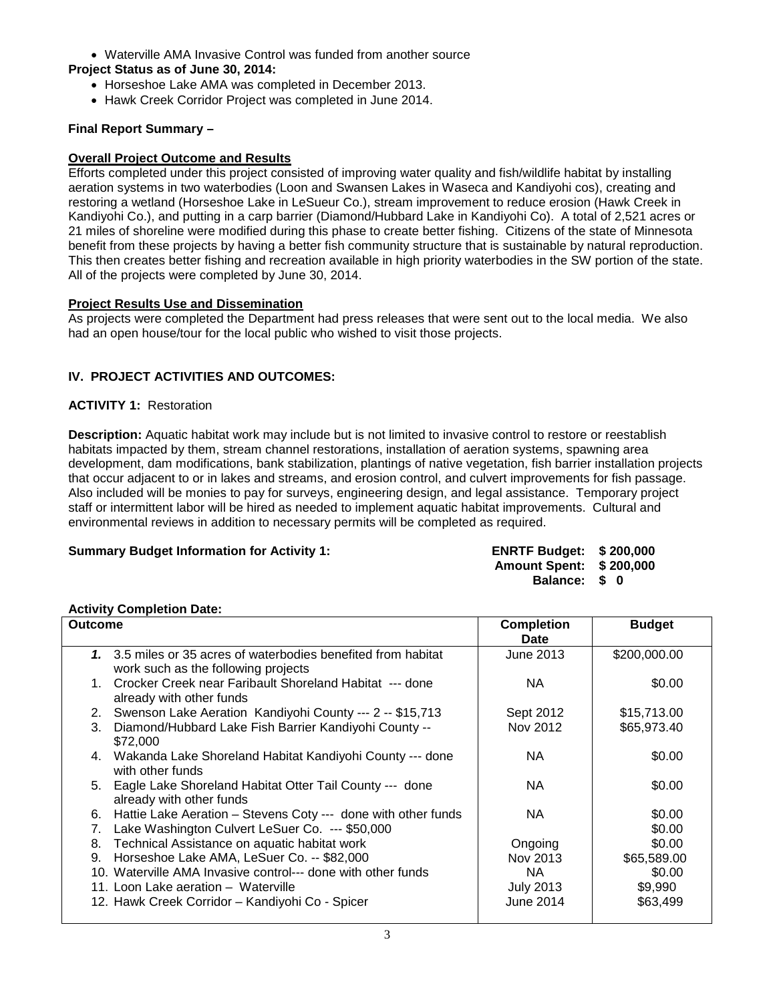• Waterville AMA Invasive Control was funded from another source

# **Project Status as of June 30, 2014:**

- Horseshoe Lake AMA was completed in December 2013.
- Hawk Creek Corridor Project was completed in June 2014.

# **Final Report Summary –**

## **Overall Project Outcome and Results**

Efforts completed under this project consisted of improving water quality and fish/wildlife habitat by installing aeration systems in two waterbodies (Loon and Swansen Lakes in Waseca and Kandiyohi cos), creating and restoring a wetland (Horseshoe Lake in LeSueur Co.), stream improvement to reduce erosion (Hawk Creek in Kandiyohi Co.), and putting in a carp barrier (Diamond/Hubbard Lake in Kandiyohi Co). A total of 2,521 acres or 21 miles of shoreline were modified during this phase to create better fishing. Citizens of the state of Minnesota benefit from these projects by having a better fish community structure that is sustainable by natural reproduction. This then creates better fishing and recreation available in high priority waterbodies in the SW portion of the state. All of the projects were completed by June 30, 2014.

## **Project Results Use and Dissemination**

As projects were completed the Department had press releases that were sent out to the local media. We also had an open house/tour for the local public who wished to visit those projects.

# **IV. PROJECT ACTIVITIES AND OUTCOMES:**

## **ACTIVITY 1:** Restoration

**Description:** Aquatic habitat work may include but is not limited to invasive control to restore or reestablish habitats impacted by them, stream channel restorations, installation of aeration systems, spawning area development, dam modifications, bank stabilization, plantings of native vegetation, fish barrier installation projects that occur adjacent to or in lakes and streams, and erosion control, and culvert improvements for fish passage. Also included will be monies to pay for surveys, engineering design, and legal assistance. Temporary project staff or intermittent labor will be hired as needed to implement aquatic habitat improvements. Cultural and environmental reviews in addition to necessary permits will be completed as required.

## **Summary Budget Information for Activity 1:**

| <b>ENRTF Budget:</b> | \$200,000 |
|----------------------|-----------|
| <b>Amount Spent:</b> | \$200,000 |
| <b>Balance:</b>      | S 0       |

## **Activity Completion Date:**

| <b>Outcome</b> |                                                                                                       | <b>Completion</b> | <b>Budget</b> |
|----------------|-------------------------------------------------------------------------------------------------------|-------------------|---------------|
|                |                                                                                                       | <b>Date</b>       |               |
|                | 1. 3.5 miles or 35 acres of waterbodies benefited from habitat<br>work such as the following projects | June 2013         | \$200,000.00  |
|                | 1. Crocker Creek near Faribault Shoreland Habitat --- done<br>already with other funds                | ΝA                | \$0.00        |
|                | 2. Swenson Lake Aeration Kandiyohi County --- 2 -- \$15,713                                           | Sept 2012         | \$15,713.00   |
| 3.             | Diamond/Hubbard Lake Fish Barrier Kandiyohi County --<br>\$72,000                                     | Nov 2012          | \$65,973.40   |
|                | 4. Wakanda Lake Shoreland Habitat Kandiyohi County --- done<br>with other funds                       | ΝA                | \$0.00        |
|                | 5. Eagle Lake Shoreland Habitat Otter Tail County --- done<br>already with other funds                | NА                | \$0.00        |
|                | 6. Hattie Lake Aeration - Stevens Coty --- done with other funds                                      | NА                | \$0.00        |
| 7.             | Lake Washington Culvert LeSuer Co. --- \$50,000                                                       |                   | \$0.00        |
| 8.             | Technical Assistance on aquatic habitat work                                                          | Ongoing           | \$0.00        |
|                | 9. Horseshoe Lake AMA, LeSuer Co. -- \$82,000                                                         | Nov 2013          | \$65,589.00   |
|                | 10. Waterville AMA Invasive control--- done with other funds                                          | NA.               | \$0.00        |
|                | 11. Loon Lake aeration - Waterville                                                                   | <b>July 2013</b>  | \$9,990       |
|                | 12. Hawk Creek Corridor - Kandiyohi Co - Spicer                                                       | June 2014         | \$63,499      |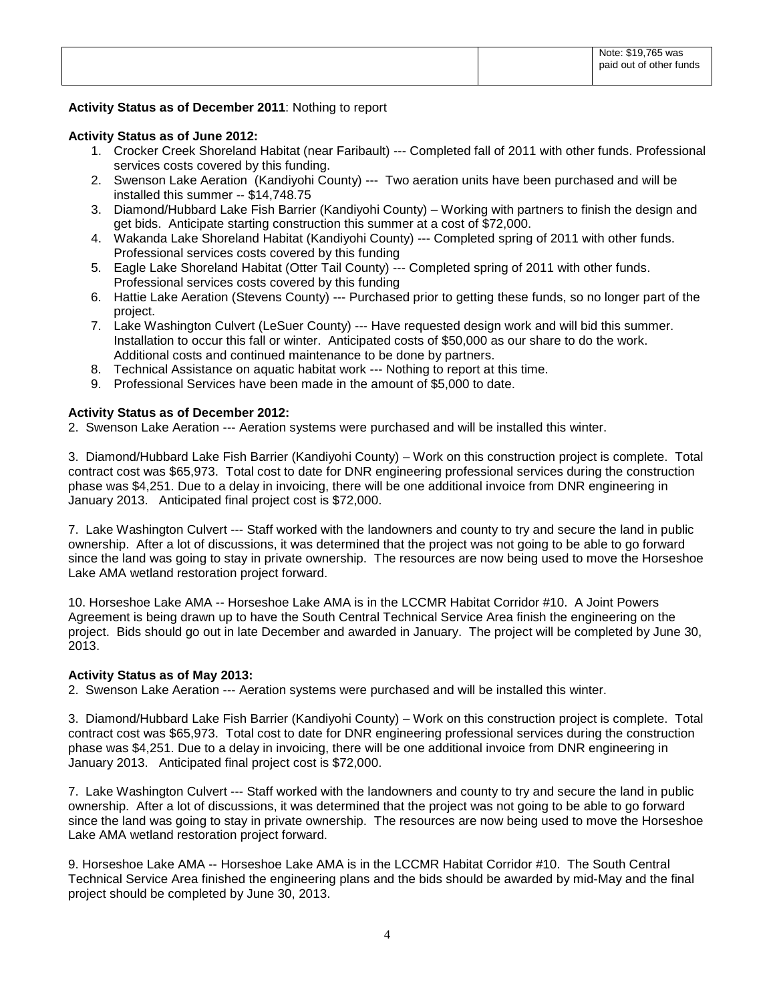## **Activity Status as of December 2011**: Nothing to report

## **Activity Status as of June 2012:**

- 1. Crocker Creek Shoreland Habitat (near Faribault) --- Completed fall of 2011 with other funds. Professional services costs covered by this funding.
- 2. Swenson Lake Aeration (Kandiyohi County) --- Two aeration units have been purchased and will be installed this summer -- \$14,748.75
- 3. Diamond/Hubbard Lake Fish Barrier (Kandiyohi County) Working with partners to finish the design and get bids. Anticipate starting construction this summer at a cost of \$72,000.
- 4. Wakanda Lake Shoreland Habitat (Kandiyohi County) --- Completed spring of 2011 with other funds. Professional services costs covered by this funding
- 5. Eagle Lake Shoreland Habitat (Otter Tail County) --- Completed spring of 2011 with other funds. Professional services costs covered by this funding
- 6. Hattie Lake Aeration (Stevens County) --- Purchased prior to getting these funds, so no longer part of the project.
- 7. Lake Washington Culvert (LeSuer County) --- Have requested design work and will bid this summer. Installation to occur this fall or winter. Anticipated costs of \$50,000 as our share to do the work. Additional costs and continued maintenance to be done by partners.
- 8. Technical Assistance on aquatic habitat work --- Nothing to report at this time.
- 9. Professional Services have been made in the amount of \$5,000 to date.

## **Activity Status as of December 2012:**

2. Swenson Lake Aeration --- Aeration systems were purchased and will be installed this winter.

3. Diamond/Hubbard Lake Fish Barrier (Kandiyohi County) – Work on this construction project is complete. Total contract cost was \$65,973. Total cost to date for DNR engineering professional services during the construction phase was \$4,251. Due to a delay in invoicing, there will be one additional invoice from DNR engineering in January 2013. Anticipated final project cost is \$72,000.

7. Lake Washington Culvert --- Staff worked with the landowners and county to try and secure the land in public ownership. After a lot of discussions, it was determined that the project was not going to be able to go forward since the land was going to stay in private ownership. The resources are now being used to move the Horseshoe Lake AMA wetland restoration project forward.

10. Horseshoe Lake AMA -- Horseshoe Lake AMA is in the LCCMR Habitat Corridor #10. A Joint Powers Agreement is being drawn up to have the South Central Technical Service Area finish the engineering on the project. Bids should go out in late December and awarded in January. The project will be completed by June 30, 2013.

## **Activity Status as of May 2013:**

2. Swenson Lake Aeration --- Aeration systems were purchased and will be installed this winter.

3. Diamond/Hubbard Lake Fish Barrier (Kandiyohi County) – Work on this construction project is complete. Total contract cost was \$65,973. Total cost to date for DNR engineering professional services during the construction phase was \$4,251. Due to a delay in invoicing, there will be one additional invoice from DNR engineering in January 2013. Anticipated final project cost is \$72,000.

7. Lake Washington Culvert --- Staff worked with the landowners and county to try and secure the land in public ownership. After a lot of discussions, it was determined that the project was not going to be able to go forward since the land was going to stay in private ownership. The resources are now being used to move the Horseshoe Lake AMA wetland restoration project forward.

9. Horseshoe Lake AMA -- Horseshoe Lake AMA is in the LCCMR Habitat Corridor #10. The South Central Technical Service Area finished the engineering plans and the bids should be awarded by mid-May and the final project should be completed by June 30, 2013.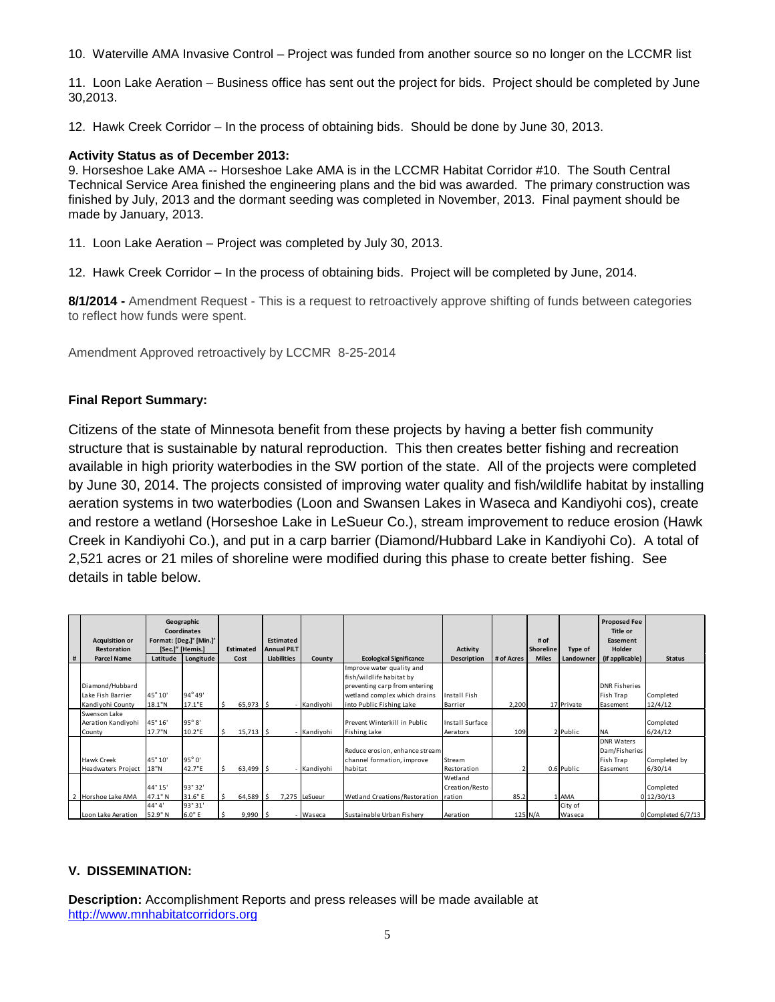10. Waterville AMA Invasive Control – Project was funded from another source so no longer on the LCCMR list

11. Loon Lake Aeration – Business office has sent out the project for bids. Project should be completed by June 30,2013.

12. Hawk Creek Corridor – In the process of obtaining bids. Should be done by June 30, 2013.

#### **Activity Status as of December 2013:**

9. Horseshoe Lake AMA -- Horseshoe Lake AMA is in the LCCMR Habitat Corridor #10. The South Central Technical Service Area finished the engineering plans and the bid was awarded. The primary construction was finished by July, 2013 and the dormant seeding was completed in November, 2013. Final payment should be made by January, 2013.

11. Loon Lake Aeration – Project was completed by July 30, 2013.

12. Hawk Creek Corridor – In the process of obtaining bids. Project will be completed by June, 2014.

**8/1/2014 -** Amendment Request - This is a request to retroactively approve shifting of funds between categories to reflect how funds were spent.

Amendment Approved retroactively by LCCMR 8-25-2014

#### **Final Report Summary:**

Citizens of the state of Minnesota benefit from these projects by having a better fish community structure that is sustainable by natural reproduction. This then creates better fishing and recreation available in high priority waterbodies in the SW portion of the state. All of the projects were completed by June 30, 2014. The projects consisted of improving water quality and fish/wildlife habitat by installing aeration systems in two waterbodies (Loon and Swansen Lakes in Waseca and Kandiyohi cos), create and restore a wetland (Horseshoe Lake in LeSueur Co.), stream improvement to reduce erosion (Hawk Creek in Kandiyohi Co.), and put in a carp barrier (Diamond/Hubbard Lake in Kandiyohi Co). A total of 2,521 acres or 21 miles of shoreline were modified during this phase to create better fishing. See details in table below.

|   |                       |                | Geographic<br>Coordinates |                  |                    |               |                                |                    |            |                  |            | <b>Proposed Fee</b><br>Title or |                    |
|---|-----------------------|----------------|---------------------------|------------------|--------------------|---------------|--------------------------------|--------------------|------------|------------------|------------|---------------------------------|--------------------|
|   | <b>Acquisition or</b> |                | Format: [Deg.]° [Min.]'   |                  | Estimated          |               |                                |                    |            | # of             |            | Easement                        |                    |
|   | Restoration           |                | [Sec.]" [Hemis.]          | <b>Estimated</b> | <b>Annual PILT</b> |               |                                | <b>Activity</b>    |            | <b>Shoreline</b> | Type of    | Holder                          |                    |
| # | <b>Parcel Name</b>    | Latitude       | Longitude                 | Cost             | <b>Liabilities</b> | County        | <b>Ecological Significance</b> | <b>Description</b> | # of Acres | <b>Miles</b>     | Landowner  | (if applicable)                 | <b>Status</b>      |
|   |                       |                |                           |                  |                    |               | Improve water quality and      |                    |            |                  |            |                                 |                    |
|   |                       |                |                           |                  |                    |               | fish/wildlife habitat by       |                    |            |                  |            |                                 |                    |
|   | Diamond/Hubbard       |                |                           |                  |                    |               | preventing carp from entering  |                    |            |                  |            | <b>DNR Fisheries</b>            |                    |
|   | Lake Fish Barrier     | 45° 10'        | $94^{\circ}49'$           |                  |                    |               | wetland complex which drains   | Install Fish       |            |                  |            | Fish Trap                       | Completed          |
|   | Kandiyohi County      | 18.1"N         | 17.1"E                    | 65,973 \$        |                    | - Kandiyohi   | into Public Fishing Lake       | Barrier            | 2,200      |                  | 17 Private | Easement                        | 12/4/12            |
|   | Swenson Lake          |                |                           |                  |                    |               |                                |                    |            |                  |            |                                 |                    |
|   | Aeration Kandiyohi    | 45° 16'        | $95^\circ 8'$             |                  |                    |               | Prevent Winterkill in Public   | Install Surface    |            |                  |            |                                 | <b>Completed</b>   |
|   | County                | 17.7"N         | 10.2"E                    | $15,713$ \$      |                    | Kandiyohi     | <b>Fishing Lake</b>            | Aerators           | 109        |                  | 2 Public   | <b>NA</b>                       | 6/24/12            |
|   |                       |                |                           |                  |                    |               |                                |                    |            |                  |            | <b>DNR Waters</b>               |                    |
|   |                       |                |                           |                  |                    |               | Reduce erosion, enhance stream |                    |            |                  |            | Dam/Fisheries                   |                    |
|   | Hawk Creek            | 45° 10'        | $95^\circ 0'$             |                  |                    |               | channel formation, improve     | <b>Stream</b>      |            |                  |            | Fish Trap                       | Completed by       |
|   | Headwaters Project    | 18"N           | 42.7"E                    | 63,499 \$        |                    | Kandiyohi     | habitat                        | Restoration        |            |                  | 0.6 Public | Easement                        | 6/30/14            |
|   |                       |                |                           |                  |                    |               |                                | Wetland            |            |                  |            |                                 |                    |
|   |                       | 44° 15'        | 93°32'                    |                  |                    |               |                                | Creation/Resto     |            |                  |            |                                 | Completed          |
|   | 2 Horshoe Lake AMA    | 47.1" N        | 31.6" E                   | 64,589 \$        |                    | 7,275 LeSueur | Wetland Creations/Restoration  | ration             | 85.2       |                  | 1 AMA      |                                 | $0$ 12/30/13       |
|   |                       | $44^{\circ}4'$ | 93° 31'                   |                  |                    |               |                                |                    |            |                  | City of    |                                 |                    |
|   | Loon Lake Aeration    | 52.9" N        | 6.0" E                    | $9,990$ \$       |                    | Waseca        | Sustainable Urban Fishery      | Aeration           | 125 N/A    |                  | Waseca     |                                 | 0 Completed 6/7/13 |

## **V. DISSEMINATION:**

**Description:** Accomplishment Reports and press releases will be made available at [http://www.mnhabitatcorridors.org](http://www.mnhabitatcorridors.org/)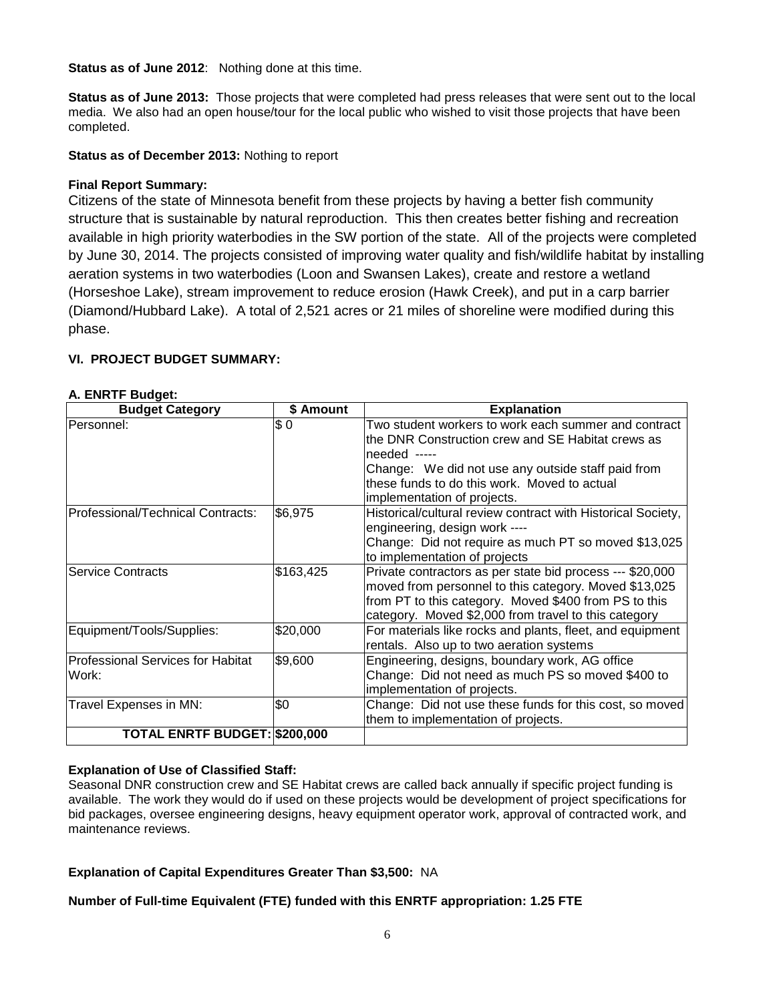**Status as of June 2012**: Nothing done at this time.

**Status as of June 2013:** Those projects that were completed had press releases that were sent out to the local media. We also had an open house/tour for the local public who wished to visit those projects that have been completed.

## **Status as of December 2013:** Nothing to report

## **Final Report Summary:**

Citizens of the state of Minnesota benefit from these projects by having a better fish community structure that is sustainable by natural reproduction. This then creates better fishing and recreation available in high priority waterbodies in the SW portion of the state. All of the projects were completed by June 30, 2014. The projects consisted of improving water quality and fish/wildlife habitat by installing aeration systems in two waterbodies (Loon and Swansen Lakes), create and restore a wetland (Horseshoe Lake), stream improvement to reduce erosion (Hawk Creek), and put in a carp barrier (Diamond/Hubbard Lake). A total of 2,521 acres or 21 miles of shoreline were modified during this phase.

## **VI. PROJECT BUDGET SUMMARY:**

| <b>Budget Category</b>                            | \$ Amount | <b>Explanation</b>                                                                                                                                                                                                                                             |
|---------------------------------------------------|-----------|----------------------------------------------------------------------------------------------------------------------------------------------------------------------------------------------------------------------------------------------------------------|
| Personnel:                                        | \$0       | Two student workers to work each summer and contract<br>the DNR Construction crew and SE Habitat crews as<br>needed -----<br>Change: We did not use any outside staff paid from<br>these funds to do this work. Moved to actual<br>implementation of projects. |
| Professional/Technical Contracts:                 | \$6,975   | Historical/cultural review contract with Historical Society,<br>engineering, design work ----<br>Change: Did not require as much PT so moved \$13,025<br>to implementation of projects                                                                         |
| <b>Service Contracts</b>                          | \$163,425 | Private contractors as per state bid process --- \$20,000<br>moved from personnel to this category. Moved \$13,025<br>from PT to this category. Moved \$400 from PS to this<br>category. Moved \$2,000 from travel to this category                            |
| Equipment/Tools/Supplies:                         | \$20,000  | For materials like rocks and plants, fleet, and equipment<br>rentals. Also up to two aeration systems                                                                                                                                                          |
| <b>Professional Services for Habitat</b><br>Work: | \$9,600   | Engineering, designs, boundary work, AG office<br>Change: Did not need as much PS so moved \$400 to<br>implementation of projects.                                                                                                                             |
| Travel Expenses in MN:                            | \$0       | Change: Did not use these funds for this cost, so moved<br>them to implementation of projects.                                                                                                                                                                 |
| TOTAL ENRTF BUDGET: \$200,000                     |           |                                                                                                                                                                                                                                                                |

## **A. ENRTF Budget:**

## **Explanation of Use of Classified Staff:**

Seasonal DNR construction crew and SE Habitat crews are called back annually if specific project funding is available. The work they would do if used on these projects would be development of project specifications for bid packages, oversee engineering designs, heavy equipment operator work, approval of contracted work, and maintenance reviews.

## **Explanation of Capital Expenditures Greater Than \$3,500:** NA

## **Number of Full-time Equivalent (FTE) funded with this ENRTF appropriation: 1.25 FTE**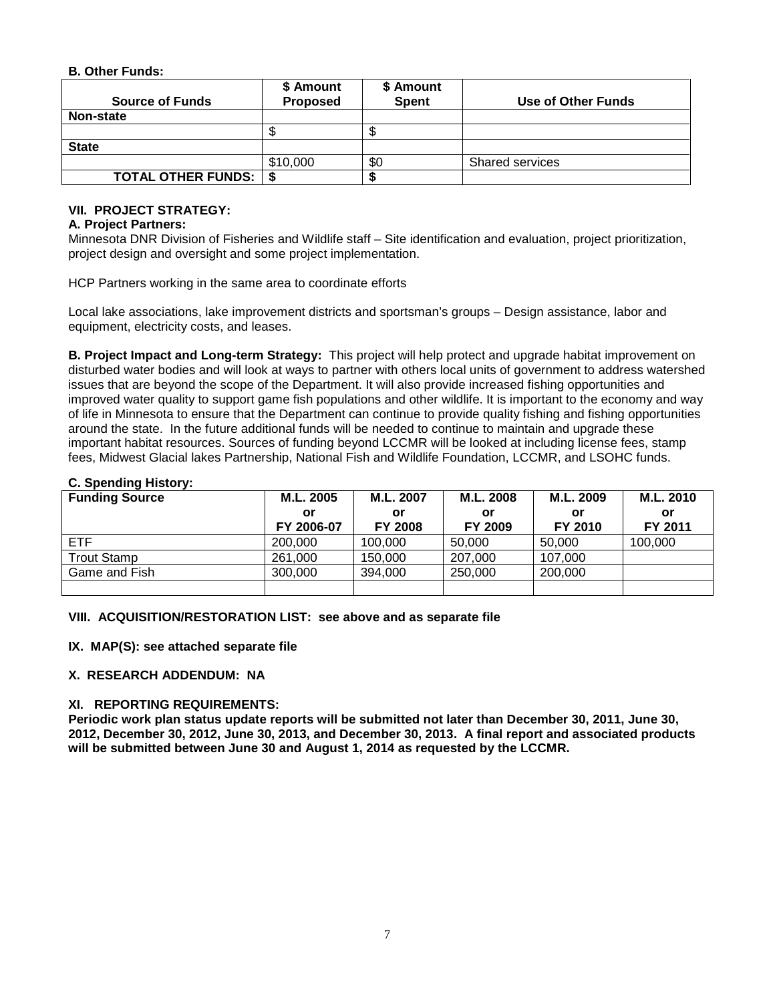#### **B. Other Funds:**

| <b>Source of Funds</b>    | \$ Amount<br><b>Proposed</b> | \$ Amount<br><b>Spent</b> | Use of Other Funds     |
|---------------------------|------------------------------|---------------------------|------------------------|
| Non-state                 |                              |                           |                        |
|                           | ٠D                           |                           |                        |
| <b>State</b>              |                              |                           |                        |
|                           | \$10,000                     | \$0                       | <b>Shared services</b> |
| <b>TOTAL OTHER FUNDS:</b> |                              |                           |                        |

## **VII. PROJECT STRATEGY:**

#### **A. Project Partners:**

Minnesota DNR Division of Fisheries and Wildlife staff – Site identification and evaluation, project prioritization, project design and oversight and some project implementation.

HCP Partners working in the same area to coordinate efforts

Local lake associations, lake improvement districts and sportsman's groups – Design assistance, labor and equipment, electricity costs, and leases.

**B. Project Impact and Long-term Strategy:** This project will help protect and upgrade habitat improvement on disturbed water bodies and will look at ways to partner with others local units of government to address watershed issues that are beyond the scope of the Department. It will also provide increased fishing opportunities and improved water quality to support game fish populations and other wildlife. It is important to the economy and way of life in Minnesota to ensure that the Department can continue to provide quality fishing and fishing opportunities around the state. In the future additional funds will be needed to continue to maintain and upgrade these important habitat resources. Sources of funding beyond LCCMR will be looked at including license fees, stamp fees, Midwest Glacial lakes Partnership, National Fish and Wildlife Foundation, LCCMR, and LSOHC funds.

#### **C. Spending History:**

| $\bullet$ . $\bullet$ $\bullet$ |            |                |           |           |           |
|---------------------------------|------------|----------------|-----------|-----------|-----------|
| <b>Funding Source</b>           | M.L. 2005  | M.L. 2007      | M.L. 2008 | M.L. 2009 | M.L. 2010 |
|                                 | or         | or             | or        | or        | or        |
|                                 | FY 2006-07 | <b>FY 2008</b> | FY 2009   | FY 2010   | FY 2011   |
| <b>ETF</b>                      | 200,000    | 100,000        | 50.000    | 50,000    | 100,000   |
| <b>Trout Stamp</b>              | 261,000    | 150,000        | 207,000   | 107,000   |           |
| Game and Fish                   | 300,000    | 394,000        | 250,000   | 200,000   |           |
|                                 |            |                |           |           |           |

**VIII. ACQUISITION/RESTORATION LIST: see above and as separate file**

**IX. MAP(S): see attached separate file**

**X. RESEARCH ADDENDUM: NA**

#### **XI. REPORTING REQUIREMENTS:**

**Periodic work plan status update reports will be submitted not later than December 30, 2011, June 30, 2012, December 30, 2012, June 30, 2013, and December 30, 2013. A final report and associated products will be submitted between June 30 and August 1, 2014 as requested by the LCCMR.**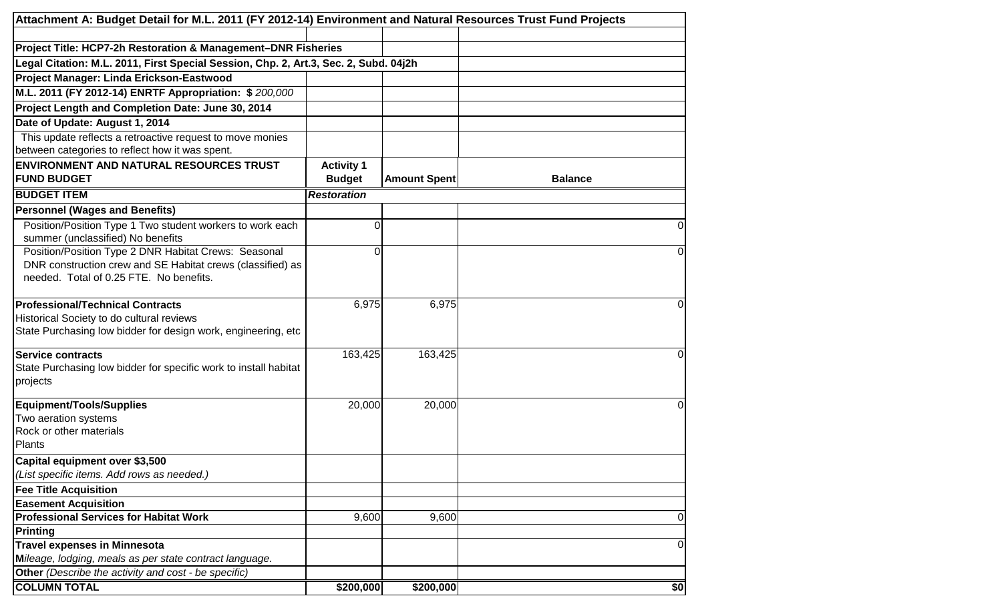| Attachment A: Budget Detail for M.L. 2011 (FY 2012-14) Environment and Natural Resources Trust Fund Projects       |                    |                     |                |
|--------------------------------------------------------------------------------------------------------------------|--------------------|---------------------|----------------|
| Project Title: HCP7-2h Restoration & Management-DNR Fisheries                                                      |                    |                     |                |
| Legal Citation: M.L. 2011, First Special Session, Chp. 2, Art.3, Sec. 2, Subd. 04j2h                               |                    |                     |                |
| Project Manager: Linda Erickson-Eastwood                                                                           |                    |                     |                |
| M.L. 2011 (FY 2012-14) ENRTF Appropriation: \$200,000                                                              |                    |                     |                |
| Project Length and Completion Date: June 30, 2014                                                                  |                    |                     |                |
| Date of Update: August 1, 2014                                                                                     |                    |                     |                |
| This update reflects a retroactive request to move monies                                                          |                    |                     |                |
| between categories to reflect how it was spent.                                                                    |                    |                     |                |
| <b>ENVIRONMENT AND NATURAL RESOURCES TRUST</b>                                                                     | <b>Activity 1</b>  |                     |                |
| <b>FUND BUDGET</b>                                                                                                 | <b>Budget</b>      | <b>Amount Spent</b> | <b>Balance</b> |
| <b>BUDGET ITEM</b>                                                                                                 | <b>Restoration</b> |                     |                |
| <b>Personnel (Wages and Benefits)</b>                                                                              |                    |                     |                |
| Position/Position Type 1 Two student workers to work each                                                          | 0                  |                     | 0              |
| summer (unclassified) No benefits                                                                                  |                    |                     |                |
| Position/Position Type 2 DNR Habitat Crews: Seasonal<br>DNR construction crew and SE Habitat crews (classified) as | $\Omega$           |                     | $\Omega$       |
| needed. Total of 0.25 FTE. No benefits.                                                                            |                    |                     |                |
|                                                                                                                    |                    |                     |                |
| <b>Professional/Technical Contracts</b>                                                                            | 6,975              | 6,975               | 0              |
| Historical Society to do cultural reviews                                                                          |                    |                     |                |
| State Purchasing low bidder for design work, engineering, etc                                                      |                    |                     |                |
| <b>Service contracts</b>                                                                                           | 163,425            | 163,425             | $\Omega$       |
| State Purchasing low bidder for specific work to install habitat                                                   |                    |                     |                |
| projects                                                                                                           |                    |                     |                |
|                                                                                                                    |                    |                     |                |
| Equipment/Tools/Supplies<br>Two aeration systems                                                                   | 20,000             | 20,000              | 0              |
| Rock or other materials                                                                                            |                    |                     |                |
| Plants                                                                                                             |                    |                     |                |
| Capital equipment over \$3,500                                                                                     |                    |                     |                |
| (List specific items. Add rows as needed.)                                                                         |                    |                     |                |
| <b>Fee Title Acquisition</b>                                                                                       |                    |                     |                |
| <b>Easement Acquisition</b>                                                                                        |                    |                     |                |
| <b>Professional Services for Habitat Work</b>                                                                      | 9,600              | 9,600               | 0              |
| <b>Printing</b>                                                                                                    |                    |                     |                |
| <b>Travel expenses in Minnesota</b>                                                                                |                    |                     | 0              |
| Mileage, lodging, meals as per state contract language.                                                            |                    |                     |                |
| Other (Describe the activity and cost - be specific)                                                               |                    |                     |                |
| <b>COLUMN TOTAL</b>                                                                                                | \$200,000          | \$200,000           | \$0            |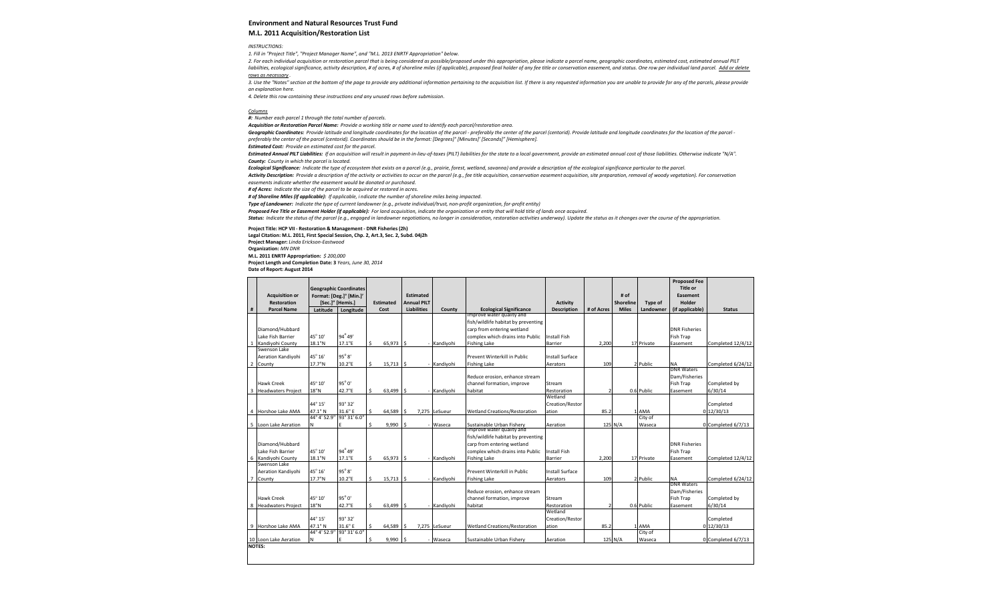#### **Environment and Natural Resources Trust Fund M.L. 2011 Acquisition/Restoration List**

#### *INSTRUCTIONS:*

*1. Fill in "Project Title", "Project Manager Name", and "M.L. 2013 ENRTF Appropriation" below.* 

2. For each individual acquisition or restoration parcel that is being considered as possible/proposed under this appropriation, please indicate a parcel name, geographic coordinates, estimated cost, estimated annual PILT liabiilties, ecological significance, activity description, # of acres, # of shoreline miles (if applicable), proposed final holder of any fee title or conservation easement, and status. One row per individual land parcel. *rows as necessary .*

3. Use the "Notes" section at the bottom of the page to provide any additional information pertaining to the acquisition list. If there is any requested information you are unable to provide for any of the parcels, please *an explanation here.* 

*4. Delete this row containing these instructions and any unused rows before submission.*

#### *Columns*

*#: Number each parcel 1 through the total number of parcels.*

*Acquisition or Restoration Parcel Name: Provide a working title or name used to identify each parcel/restoration area.*

Geographic Coordinates: Provide latitude and longitude coordinates for the location of the parcel - preferably the center of the parcel (centorid). Provide latitude and longitude coordinates for the location of the parcel *preferably the center of the parcel (centorid). Coordinates should be in the format: [Degrees]° [Minutes]' [Seconds]" [Hemisphere].*

*Estimated Cost: Provide an estimated cost for the parcel.*

Estimated Annual PILT Liabilities: If an acquisition will result in payment-in-lieu-of-taxes (PILT) liabilities for the state to a local government, provide an estimated annual cost of those liabilities. Otherwise indicate *County: County in which the parcel is located.*

*Ecological Significance: Indicate the type of ecosystem that exists on a parcel (e.g., prairie, forest, wetland, savanna) and provide a description of the ecological significance particular to the parcel.*

Activity Description: Provide a description of the activity or activities to occur on the parcel (e.g., fee title acquisition, conservation easement acquisition, site preparation, removal of woody vegetation). For conserva *easements indicate whether the easement would be donated or purchased.*

*# of Acres: Indicate the size of the parcel to be acquired or restored in acres.*

*# of Shoreline Miles (if applicable): If applicable, i ndicate the number of shoreline miles being impacted.*

*Type of Landowner: Indicate the type of current landowner (e.g., private individual/trust, non-profit organization, for-profit entity)*

*Proposed Fee Title or Easement Holder (if applicable): For land acquisition, indicate the organization or entity that will hold title of lands once acquired.*

Status: Indicate the status of the parcel (e.g., engaged in landowner negotiations, no longer in consideration, restoration activities underway). Update the status as it changes over the course of the appropriation.

**Project Title: HCP VII - Restoration & Management - DNR Fisheries (2h)**

**Legal Citation: M.L. 2011, First Special Session, Chp. 2, Art.3, Sec. 2, Subd. 04j2h**

**Project Manager:** *Linda Erickson-Eastwood*

**Organization:** *MN DNR*

**M.L. 2011 ENRTF Appropriation:** *\$ 200,000*

**Project Length and Completion Date: 3** *Years, June 30, 2014*

**Date of Report: August 2014**

|                |                                  |                | <b>Geographic Coordinates</b> |                        |                    |               |                                                                   |                        |            |              |            | <b>Proposed Fee</b><br>Title or |                    |
|----------------|----------------------------------|----------------|-------------------------------|------------------------|--------------------|---------------|-------------------------------------------------------------------|------------------------|------------|--------------|------------|---------------------------------|--------------------|
|                | <b>Acquisition or</b>            |                | Format: [Deg.]° [Min.]'       |                        | <b>Estimated</b>   |               |                                                                   |                        |            | # of         |            | <b>Easement</b>                 |                    |
|                | <b>Restoration</b>               |                | [Sec.]" [Hemis.]              | <b>Estimated</b>       | <b>Annual PILT</b> |               |                                                                   | <b>Activity</b>        |            | Shoreline    | Type of    | Holder                          |                    |
| #              | <b>Parcel Name</b>               | Latitude       | Longitude                     | Cost                   | <b>Liabilities</b> | County        | <b>Ecological Significance</b>                                    | <b>Description</b>     | # of Acres | <b>Miles</b> | Landowner  | (if applicable)                 | <b>Status</b>      |
|                |                                  |                |                               |                        |                    |               | Improve water quality and                                         |                        |            |              |            |                                 |                    |
|                | Diamond/Hubbard                  |                |                               |                        |                    |               | fish/wildlife habitat by preventing<br>carp from entering wetland |                        |            |              |            | <b>DNR Fisheries</b>            |                    |
|                |                                  | 45° 10'        | 94°49'                        |                        |                    |               |                                                                   |                        |            |              |            |                                 |                    |
|                | Lake Fish Barrier                | 18.1"N         | 17.1"E                        | Š.                     |                    |               | complex which drains into Public                                  | <b>Install Fish</b>    |            |              |            | Fish Trap                       |                    |
|                | Kandiyohi County<br>Swenson Lake |                |                               | 65,973 \$              |                    | Kandiyohi     | <b>Fishing Lake</b>                                               | Barrier                | 2,200      |              | 17 Private | Easement                        | Completed 12/4/12  |
|                | Aeration Kandiyohi               | 45° 16'        | $95^\circ 8'$                 |                        |                    |               | Prevent Winterkill in Public                                      | <b>Install Surface</b> |            |              |            |                                 |                    |
| 2              | County                           | 17.7"N         | 10.2"E                        | Ŝ.<br>$15,713$ \$      |                    | Kandiyohi     | <b>Fishing Lake</b>                                               | Aerators               | 109        |              | 2 Public   | <b>NA</b>                       | Completed 6/24/12  |
|                |                                  |                |                               |                        |                    |               |                                                                   |                        |            |              |            | <b>DNR Waters</b>               |                    |
|                |                                  |                |                               |                        |                    |               | Reduce erosion, enhance stream                                    |                        |            |              |            | Dam/Fisheries                   |                    |
|                | Hawk Creek                       | 45° 10'        | $95^\circ$ 0'                 |                        |                    |               | channel formation, improve                                        | Stream                 |            |              |            | Fish Trap                       | Completed by       |
| 3              | <b>Headwaters Project</b>        | 18"N           | 42.7"E                        | Š.<br>63,499           | .\$                | Kandiyohi     | habitat                                                           | Restoration            |            |              | 0.6 Public | Easement                        | 6/30/14            |
|                |                                  |                |                               |                        |                    |               |                                                                   | Wetland                |            |              |            |                                 |                    |
|                |                                  | 44° 15'        | 93° 32'                       |                        |                    |               |                                                                   | Creation/Restor        |            |              |            |                                 | Completed          |
| 4              | Horshoe Lake AMA                 | 47.1" N        | 31.6" E                       | Ŝ.<br>64,589           | l s                | 7,275 LeSueur | <b>Wetland Creations/Restoration</b>                              | ation                  | 85.2       |              | 1 AMA      |                                 | $0$ 12/30/13       |
|                |                                  | 44° 4' 52.9"   | 93° 31' 6.0'                  |                        |                    |               |                                                                   |                        |            |              | City of    |                                 |                    |
| 5              | Loon Lake Aeration               |                |                               | 9,990                  | Is                 | Waseca        | Sustainable Urban Fishery                                         | Aeration               |            | 125 N/A      | Waseca     |                                 | 0 Completed 6/7/13 |
|                |                                  |                |                               |                        |                    |               | Improve water quality and                                         |                        |            |              |            |                                 |                    |
|                |                                  |                |                               |                        |                    |               | fish/wildlife habitat by preventing                               |                        |            |              |            |                                 |                    |
|                | Diamond/Hubbard                  |                | $94^{\circ}49'$               |                        |                    |               | carp from entering wetland                                        |                        |            |              |            | <b>DNR Fisheries</b>            |                    |
|                | Lake Fish Barrier                | 45° 10'        |                               |                        |                    |               | complex which drains into Public                                  | Install Fish           |            |              |            | Fish Trap                       |                    |
| 6              | Kandiyohi County<br>Swenson Lake | 18.1"N         | 17.1"E                        | Ŝ.<br>65,973 \$        |                    | Kandiyohi     | <b>Fishing Lake</b>                                               | Barrier                | 2,200      |              | 17 Private | Easement                        | Completed 12/4/12  |
|                | Aeration Kandiyohi               | 45° 16'        | $95^\circ 8'$                 |                        |                    |               | Prevent Winterkill in Public                                      | <b>Install Surface</b> |            |              |            |                                 |                    |
| $\overline{7}$ | County                           | 17.7"N         | 10.2"E                        | \$<br>15,713           | I \$               | Kandivohi     | <b>Fishing Lake</b>                                               | Aerators               | 109        |              | 2 Public   | <b>NA</b>                       | Completed 6/24/12  |
|                |                                  |                |                               |                        |                    |               |                                                                   |                        |            |              |            | <b>DNR Waters</b>               |                    |
|                |                                  |                |                               |                        |                    |               | Reduce erosion, enhance stream                                    |                        |            |              |            | Dam/Fisheries                   |                    |
|                | Hawk Creek                       | $45^\circ 10'$ | $95^\circ$ 0'                 |                        |                    |               | channel formation, improve                                        | Stream                 |            |              |            | Fish Trap                       | Completed by       |
| 8              | <b>Headwaters Project</b>        | 18"N           | 42.7"E                        | Ŝ.<br>63,499           | \$                 | Kandiyohi     | habitat                                                           | Restoration            | J.         |              | 0.6 Public | Easement                        | 6/30/14            |
|                |                                  |                |                               |                        |                    |               |                                                                   | Wetland                |            |              |            |                                 |                    |
|                |                                  | 44° 15'        | 93° 32'                       |                        |                    |               |                                                                   | Creation/Restor        |            |              |            |                                 | Completed          |
|                | 9 Horshoe Lake AMA               | 47.1" N        | 31.6" E                       | $\mathsf{S}$<br>64.589 | .\$                | 7.275 LeSueur | <b>Wetland Creations/Restoration</b>                              | ation                  | 85.2       |              | 1 AMA      |                                 | $0$ 12/30/13       |
|                |                                  | 44° 4' 52.9"   | 93° 31' 6.0'                  |                        |                    |               |                                                                   |                        |            |              | City of    |                                 |                    |
|                | 10 Loon Lake Aeration            | N              |                               | 9,990                  | ¢                  | Waseca        | Sustainable Urban Fishery                                         | Aeration               |            | 125 N/A      | Waseca     |                                 | 0 Completed 6/7/13 |
|                | <b>NOTES:</b>                    |                |                               |                        |                    |               |                                                                   |                        |            |              |            |                                 |                    |
|                |                                  |                |                               |                        |                    |               |                                                                   |                        |            |              |            |                                 |                    |